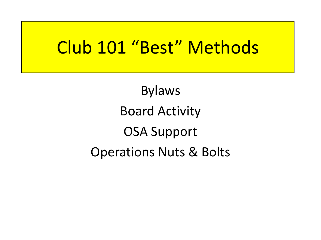## Club 101 "Best" Methods

Bylaws Board Activity OSA Support Operations Nuts & Bolts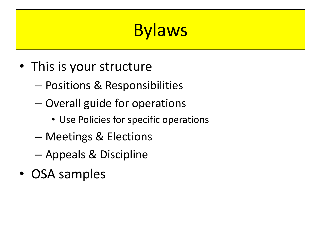# **Bylaws**

- This is your structure
	- Positions & Responsibilities
	- Overall guide for operations
		- Use Policies for specific operations
	- Meetings & Elections
	- Appeals & Discipline
- OSA samples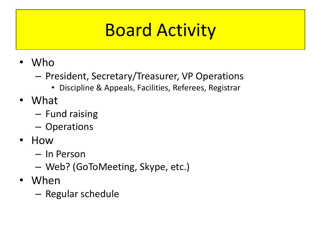## Board Activity

- Who
	- President, Secretary/Treasurer, VP Operations
		- Discipline & Appeals, Facilities, Referees, Registrar
- What
	- Fund raising
	- Operations
- How
	- In Person
	- Web? (GoToMeeting, Skype, etc.)
- When
	- Regular schedule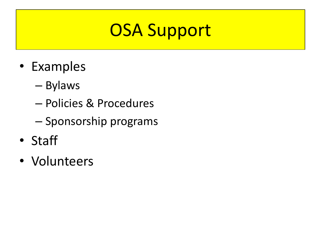## OSA Support

- Examples
	- Bylaws
	- Policies & Procedures
	- Sponsorship programs
- Staff
- Volunteers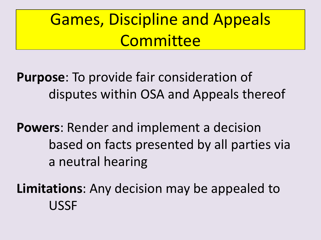## Games, Discipline and Appeals **Committee**

**Purpose**: To provide fair consideration of disputes within OSA and Appeals thereof

**Powers**: Render and implement a decision based on facts presented by all parties via a neutral hearing

**Limitations**: Any decision may be appealed to USSF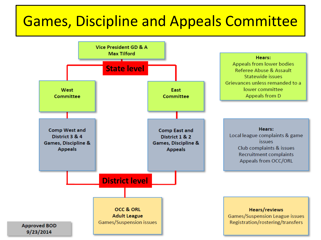## Games, Discipline and Appeals Committee

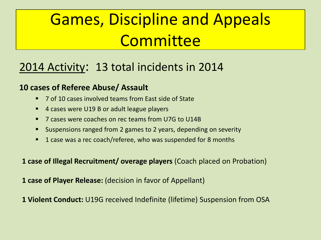## Games, Discipline and Appeals **Committee**

### 2014 Activity: 13 total incidents in 2014

#### **10 cases of Referee Abuse/ Assault**

- 7 of 10 cases involved teams from East side of State
- 4 cases were U19 B or adult league players
- 7 cases were coaches on rec teams from U7G to U14B
- Suspensions ranged from 2 games to 2 years, depending on severity
- 1 case was a rec coach/referee, who was suspended for 8 months

**1 case of Illegal Recruitment/ overage players** (Coach placed on Probation)

**1 case of Player Release:** (decision in favor of Appellant)

**1 Violent Conduct:** U19G received Indefinite (lifetime) Suspension from OSA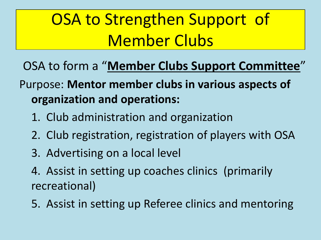## OSA to Strengthen Support of Member Clubs

- OSA to form a "**Member Clubs Support Committee**"
- Purpose: **Mentor member clubs in various aspects of organization and operations:**
	- 1. Club administration and organization
	- 2. Club registration, registration of players with OSA
	- 3. Advertising on a local level
	- 4. Assist in setting up coaches clinics (primarily recreational)
	- 5. Assist in setting up Referee clinics and mentoring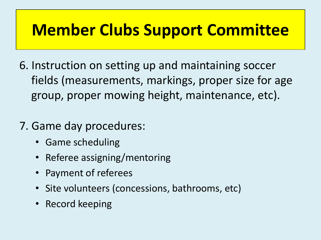## **Member Clubs Support Committee**

- 6. Instruction on setting up and maintaining soccer fields (measurements, markings, proper size for age group, proper mowing height, maintenance, etc).
- 7. Game day procedures:
	- Game scheduling
	- Referee assigning/mentoring
	- Payment of referees
	- Site volunteers (concessions, bathrooms, etc)
	- Record keeping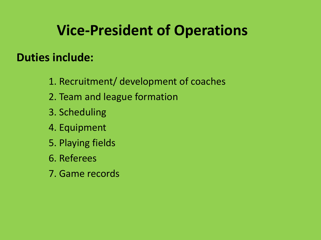## **Vice-President of Operations**

#### **Duties include:**

- 1. Recruitment/ development of coaches
- 2. Team and league formation
- 3. Scheduling
- 4. Equipment
- 5. Playing fields
- 6. Referees
- 7. Game records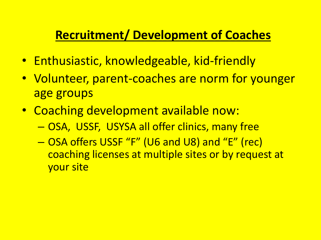### **Recruitment/ Development of Coaches**

- Enthusiastic, knowledgeable, kid-friendly
- Volunteer, parent-coaches are norm for younger age groups
- Coaching development available now:
	- OSA, USSF, USYSA all offer clinics, many free
	- OSA offers USSF "F" (U6 and U8) and "E" (rec) coaching licenses at multiple sites or by request at your site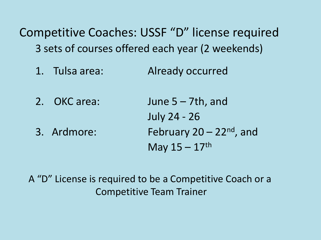Competitive Coaches: USSF "D" license required 3 sets of courses offered each year (2 weekends)

- 1. Tulsa area: Already occurred
- 2. OKC area: June 5 7th, and July 24 - 26 3. Ardmore: February  $20 - 22<sup>nd</sup>$ , and May  $15 - 17$ <sup>th</sup>

A "D" License is required to be a Competitive Coach or a Competitive Team Trainer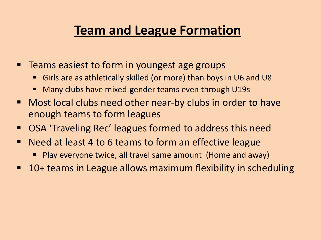## **Team and League Formation**

- Teams easiest to form in youngest age groups
	- Girls are as athletically skilled (or more) than boys in U6 and U8
	- Many clubs have mixed-gender teams even through U19s
- Most local clubs need other near-by clubs in order to have enough teams to form leagues
- OSA 'Traveling Rec' leagues formed to address this need
- **Need at least 4 to 6 teams to form an effective league** 
	- **Play everyone twice, all travel same amount (Home and away)**
- 10+ teams in League allows maximum flexibility in scheduling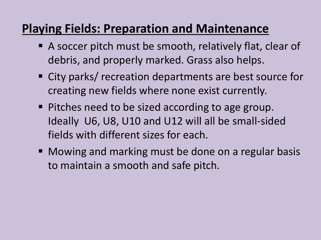### **Playing Fields: Preparation and Maintenance**

- A soccer pitch must be smooth, relatively flat, clear of debris, and properly marked. Grass also helps.
- City parks/ recreation departments are best source for creating new fields where none exist currently.
- Pitches need to be sized according to age group. Ideally U6, U8, U10 and U12 will all be small-sided fields with different sizes for each.
- Mowing and marking must be done on a regular basis to maintain a smooth and safe pitch.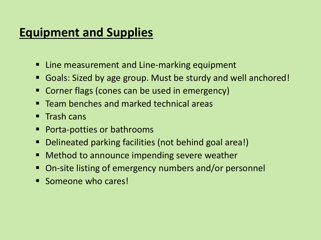### **Equipment and Supplies**

- Line measurement and Line-marking equipment
- Goals: Sized by age group. Must be sturdy and well anchored!
- Corner flags (cones can be used in emergency)
- **Team benches and marked technical areas**
- $\blacksquare$  Trash cans
- Porta-potties or bathrooms
- Delineated parking facilities (not behind goal area!)
- Method to announce impending severe weather
- On-site listing of emergency numbers and/or personnel
- **Someone who cares!**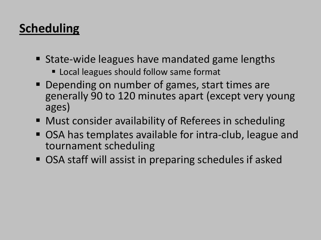## **Scheduling**

- State-wide leagues have mandated game lengths
	- **Example 1 Local leagues should follow same format**
- **Depending on number of games, start times are** generally 90 to 120 minutes apart (except very young ages)
- Must consider availability of Referees in scheduling
- OSA has templates available for intra-club, league and tournament scheduling
- OSA staff will assist in preparing schedules if asked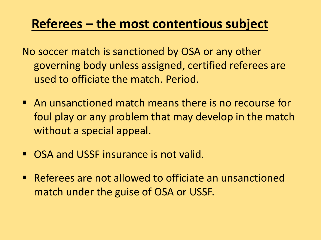### **Referees – the most contentious subject**

No soccer match is sanctioned by OSA or any other governing body unless assigned, certified referees are used to officiate the match. Period.

- **An unsanctioned match means there is no recourse for** foul play or any problem that may develop in the match without a special appeal.
- **OSA and USSE insurance is not valid.**
- Referees are not allowed to officiate an unsanctioned match under the guise of OSA or USSF.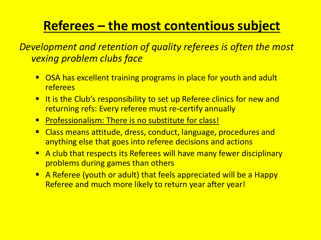## **Referees – the most contentious subject**

*Development and retention of quality referees is often the most vexing problem clubs face*

- OSA has excellent training programs in place for youth and adult referees
- **URE:** It is the Club's responsibility to set up Referee clinics for new and returning refs: Every referee must re-certify annually
- **Professionalism: There is no substitute for class!**
- Class means attitude, dress, conduct, language, procedures and anything else that goes into referee decisions and actions
- A club that respects its Referees will have many fewer disciplinary problems during games than others
- A Referee (youth or adult) that feels appreciated will be a Happy Referee and much more likely to return year after year!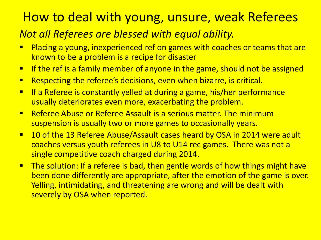## How to deal with young, unsure, weak Referees

#### *Not all Referees are blessed with equal ability.*

- **Placing a young, inexperienced ref on games with coaches or teams that are** known to be a problem is a recipe for disaster
- **If the ref is a family member of anyone in the game, should not be assigned**
- **Respecting the referee's decisions, even when bizarre, is critical.**
- **If a Referee is constantly yelled at during a game, his/her performance** usually deteriorates even more, exacerbating the problem.
- **E** Referee Abuse or Referee Assault is a serious matter. The minimum suspension is usually two or more games to occasionally years.
- 10 of the 13 Referee Abuse/Assault cases heard by OSA in 2014 were adult coaches versus youth referees in U8 to U14 rec games. There was not a single competitive coach charged during 2014.
- **The solution: If a referee is bad, then gentle words of how things might have** been done differently are appropriate, after the emotion of the game is over. Yelling, intimidating, and threatening are wrong and will be dealt with severely by OSA when reported.